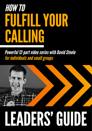## **HOW TO** FULFILL YOUR CALLING

**Powerful 12-part video series with David Steele** for individuals and small groups



# LEADERS GUIDE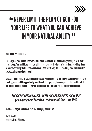

#### **EXAMPLE AND FOR LIMIT THE PLAN OF GOD FOR**<br>
YOUR LIFE TO WHAT YOU CAN ACHIEV YOUR LIFE TO WHAT YOU CAN ACHIEVE IN YOUR NATURAL ABILITY 111<br>77

Dear small group leader,

I'm delighted that you've discovered this video series and are considering sharing it with your small group. You and I have been called by Jesus to make disciples of all nations, teaching them to obey everything that He has commanded (Matt 28:19-20). This is the thing that will make the greatest difference in this world.

As you gather people to watch these 12 videos, you are not only fulfilling that calling but you are creating an incredible opportunity for others to be Equipped, Encouraged and Inspired to fulfill the unique call God has on their lives and to bear the fruit that He has called them to bear.

#### *You did not choose me, but I chose you and appointed you so that you might go and bear fruit—fruit that will last -* John 15:16

Be blessed as you embark on this life changing adventure!

David Steele Founder, Truth Planters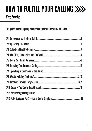### HOW TO FULFILL YOUR CALLING *Contents*

This guide contains group discussion questions for all 12 episodes: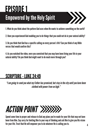### EPISODE 1 Empowered by the Holy Spirit

1. What do you think about the pattern God uses when He wants to achieve something on the earth?

2. Have you experienced God enabling you to do things that you could not do in your natural ability?

3. Do you think that God has a specific calling on every person's life? Can you think of any Bible verses that would confirm this?

4. As you watched the video, were you convicted that you may have been living your life in your natural ability? Do you think God might want to do much more through you?

#### SCRIPTURE - LUKE 24:49

*"I am going to send you what my Father has promised; but stay in the city until you have been clothed with power from on high."*

### *ACTION POINT*

Spend some time in prayer and release to God any plans you've made for your life that may not have been from Him. Say sorry for limiting Him to your way of thinking and ask Him to give you His vision for your life. Trust that He will empower you to do whatever He is calling you to.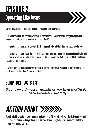### EPISODE 2 Operating Like Jesus



1. What do you think it means to "operate like Jesus" on a daily basis?

2. Do you remember a time when you were filled with the Holy Spirit? What was your experience and why do you think it was the baptism of the Holy Spirit?

3. Do you think the baptism of the Holy Spirit is a promise for all Christians, or just a special few?

4. Before watching this video, did you realise that Acts chapter 8 mentions a group of people who had believed in Jesus and been baptised in water but did not receive the Holy Spirit until Peter and John placed their hands on them?

5. What difference does the Holy Spirit make in a person's life? Can you think of any scriptures that speak about the Holy Spirit's role in our lives?

#### SCRIPTURE - ACTS 4:31

*After they prayed, the place where they were meeting was shaken. And they were all filled with the Holy Spirit and spoke the word of God boldly.*

### *ACTION POINT*

Make it a habit to wake up every morning and ask God to fill you with His Holy Spirit. Remind yourself daily that you can do nothing without Him, but that He is willing to empower you every day to live beyond your natural ability.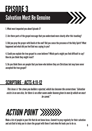#### EPISODE 3 Salvation Must Be Genuine



1. What most impacted you about Episode 3?

2. Are there parts of the gospel message that you understand more clearly after this teaching?

3. Did you pray the prayer with David at the end? Did you sense the presence of the Holy Spirit? What happened and what did you feel God was saying to you?

4. Could you explain the true gospel to a non-believer? Which parts might you find difficult to say? How do you think they might react?

5. Do you think there are people that you know who believe they are Christians but may have never accepted the true gospel?

#### SCRIPTURE - ACTS 4:11-12

*This Jesus is 'the stone you builders rejected, which has become the cornerstone.' Salvation exists in no one else, for there is no other name under heaven given to men by which we must be saved."*

### *ACTION POINT*

Make a list of people in your life that do not know Jesus. Commit to pray regularly for their salvation and ask God to help you to share the gospel with them if and when He leads you to do so.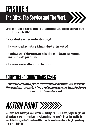### EPISODE 4 The Gifts, The Service and The Work

1. What are the three parts of the framework God uses to enable us to fulfill our calling and where does that appear in the Bible?

2. What are the differences between those three things?

3. Have you recognised any spiritual gifts in yourself or others that you know?

4. Do you have a sense of what your personal calling might be, and does that help you to make decisions about how to spend your time?

5. Have you ever experienced God opening a door for you?

#### SCRIPTURE - 1 CORINTHIANS 12:4-6

*There are different kinds of gifts, but the same Spirit distributes them. There are different kinds of service, but the same Lord. There are different kinds of working, but in all of them and in everyone it is the same God at work.*

### *ACTION POINT*

Ask God to reveal more to you about what He has called you to do. Ask Him to give you the gifts you will need and to help you recognise when He is opening a door for effective service, just like the Apostle Paul recognised in 1 Corinthians 16:8-9. Look for opportunities to use the gifts you already have in your daily life.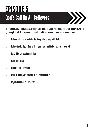#### EPISODE 5 God's Call On All Believers



In Episode 5, David spoke about 7 things that make up God's general calling on all believers. As you go through this list as a group, comment on which ones most stood out to you and why.

- 1. To know Him have an intimate, living relationship with God
- 2. To love the Lord your God with all your heart and to love others as yourself
- 3. To fulfill the Great Commission
- 4. To be sanctified
- 5. To suffer for doing good
- 6. To be at peace with the rest of the body of Christ
- 7. To give thanks in all circumstances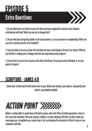#### EPISODE 5 Extra Questions

1. Do you think there are times in your life when you have neglected to nurture your intimate relationship with God? What can you do to change that?

2. Do you find yourself giving thanks in all circumstances, or are you prone to complaining? What can you do to remind yourself to be thankful?

3. Can you think of an area of your life that God has been sanctifying in the last few weeks? What do you feel He is asking you to change and have you experienced any progress?

4. Do you find it easy to live at peace with other Christians? Do you get easily offended, or are you quick to forgive?

#### SCRIPTURE - JAMES 4:8

*Come near to God and he will come near to you. Wash your hands, you sinners, and purify your hearts, you double-minded.*

### *ACTION POINT*

Make it a daily habit to spend time with God in prayer and in His Word. Ask Him questions, listen to His voice and remember that your primary calling is to have intimacy with Him. Let Him teach you, encourage you, strengthen you, convict you of sin, and develop the character of Christ in you as you commune with Him.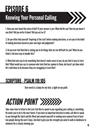### EPISODE 6 Knowing Your Personal Calling

1. Have you ever heard the voice of God? If your answer is yes: What did He say? How do you know it was Him? Did you write it down? Did you act on it?

2. Do you often find yourself 'inquiring of the Lord' before making decisions, or are you in the habit of making decisions based on your own logic and judgement?

3. Do you ever feel that God is asking you to do things that are too difficult for you? What do you think is the best way to handle this?

4. When God asks you to do something that doesn't make sense to you, do you find it easy to trust Him? What would you say to someone who feels God has spoken to them, but hasn't yet done what He's told them to do because they are struggling to trust Him?

#### SCRIPTURE - PSALM 119:105

*Your word is a lamp for my feet, a light on my path.*

### *ACTION POINT*

Take some time to listen to the Lord. Ask Him to speak to you regarding your calling or something He wants you to do in the near future. If you have an important decision to make, ask Him to speak to you through His Spirit and His Word and commit yourself to seeking wise counsel from at least two people during the next 5 days. Ask God to give you the strength you need to walk in obedience to whatever He is clearly showing you.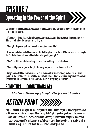### EPISODE 7 Operating in the Power of the Spirit

1. What most impacted you about what David said about the gifts of the Spirit? For what purposes are the gifts of the Spirit given?

2. If a person realises that his/her gifts are not their own, but that they are stewarding them, how do you think that will affect the way they use their gifts?

3. What gifts do you recognise are already in operation in your life?

4. Have you made the most of the opportunities God has given you in the past? Do you need to say sorry to Him for that and commit yourself to wholeheartedly using your gifts?

5. What's the difference between being self-confident and being confident in God?

6. What could you do to grow in the gifts God has given you and to fan them into flame?

7. Are you convicted that there are areas of your character that need to change so that you will be able operate in the spiritual gifts in a way that honours and pleases Him? For example, do you need to deal with areas of pride and selfishness in your heart, or a desire to bring glory to yourself?

#### SCRIPTURE - 1 CORINTHIANS 14:1

*Follow the way of love and eagerly desire gifts of the Spirit, especially prophecy.*

### *ACTION POINT*

Pray and ask God to show you the people in your life that He has called you to use your gifts to serve in this season. Ask Him to show you if there are gifts He's given you that you haven't discovered yet or areas where He wants you to step out in faith. Say sorry to God for the times you've despised or neglected to use your gifts and commit to joyfully using them. Eagerly desire the gifts of the Spirit and ask God to help you fan into flame the ones He has already given you.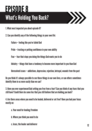#### EPISODE 8 What's Holding You Back?



2. Can you identify any of the following things in your own life:

Failure – feeling like you've failed God

Pride – trusting or putting confidence in your own ability

Fear – fear that stops you doing the things God wants you to do

Idolatry – things that have a tendency to become more important to you than God

Unresolved issues – addictions, depression, rejection, betrayal, wounds from the past

Do you think it's always possible to see these things in our own lives, or can others sometimes identify them in us more easily than we can?

3. Have you ever experienced God setting you free from a fear? Can you think of any fears that you still have? Could there be some lies that you still believe that are holding you back?

4. Are there areas where you need to be healed, delivered or set free? Have you had your focus mostly on:

- a. Your need for healing/freedom
- b. Where you think you need to be
- c. Jesus, the healer and deliverer

XXX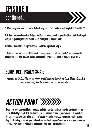#### EPISODE 8 continued...



5. What can you do on a daily basis that will help you to focus on Jesus and simply LISTEN and OBEY?

6. Is there an area of your life that you feel God has been convicting you about that needs to change? Are you responding correctly to Him and allowing Him to sanctify you?

David mentioned three things we can do  $-$  confess, repent and forgive

7. Ask God to soften your heart this week as you prepare yourself for episode 9 and consider this quote from Ep8: "God loves us just as we are but He loves us too much to leave us as we are".

#### SCRIPTURE - PSALM 34:4-5

*I sought the Lord, and he answered me; he delivered me from all my fears. Those who look to him are radiant; their faces are never covered with shame.*

### *ACTION POINT*

If you have been convicted in this episode, go before the Lord and say sorry for the things you've allowed to hold you back. Ask Him to reveal to you any deeper roots (for example past wounds or lies that you believe) that might still be affecting you today. Confess, repent and forgive as the Holy Spirit leads you and put your faith in Jesus - not only as your Savior but also as your healer and deliverer. Pray that God will soften and prepare your heart for episode nine.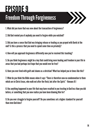### EPISODE 9 Freedom Through Forgiveness



1. What did you learn that was new about the transaction of forgiveness?

2. Did God remind you of anybody you need to forgive while you watched?

3. Did you have a sense that God was bringing release or healing as you prayed with David at the end? Is this a process that you need to spend some time on privately?

4. How will you approach forgiveness differently now you've received this teaching?

5. Do you think forgiveness might be a key that could bring more healing and freedom in your life in areas that you had perhaps lost hope that you would ever be free?

6. Have you ever lived with guilt and shame as a christian? What has helped you in times like this?

7. What do you think the Bible means when it says "There is therefore now no condemnation to them which are in Christ Jesus, who walk not after the flesh, but after the Spirit."- Romans 8:1

8. Has anything happened in your life that may have resulted in you trusting in God less than you did before, or something that you now realise you have been blaming Him for?

9. Do you ever struggle to forgive yourself? Do you sometimes set a higher standard for yourself than even God does?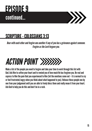#### EPISODE 9 continued...



#### SCRIPTURE - COLOSSIANS 3:13

*Bear with each other and forgive one another if any of you has a grievance against someone. Forgive as the Lord forgave you.*



Make a list of the people you need to forgive and take your time to work through this list with God. Ask Him to soften your heart and to remind you of how much He has forgiven you. Be real and express to Him the pain that you experienced to Him (let the emotions come out – it is normal to cry or feel frustrated/angry when you think about what happened to you). Release those people one by one from your judgement until you are able to freely bless them and really mean it from your heart. Ask God to help you do this and don't be in a rush.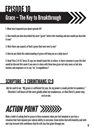### EPISODE 10 Grace – The Key to Breakthrough



1. What most impacted you about episode 10?

2. How would you have described the word "grace" before this teaching and how would you describe it now?

- 3. Were there any aspects of God's grace that were new to you?
- 4. How do you think this understanding of grace will help you on a daily basis?

5. Read Titus 2:11-15. Verse 15 says we should teach this to others. Is there someone in your life that would be blessed this week if you were to share with them how grace not only saves us but also teaches and empowers us to say "no" to ungodliness?

#### SCRIPTURE - 2 CORINTHIANS 12:9

*But he said to me, "My grace is sufficient for you, for my power is made perfect in weakness." Therefore I will boast all the more gladly about my weaknesses, so that Christ's power may rest on me.*

### *ACTION POINT*

Make a habit of asking God for grace in those moments when you feel tempted or you face a situation that feels beyond your natural ability to overcome. Come before God with humility and faith and step forward with confidence that He will slay that giant through you.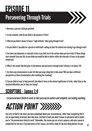### EPISODE 11 Persevering Through Trials



- 1. How does a person's faith get purified?
- 2. In one sentence, what do you think is the purpose of trials?
- 3. What do you think it means to keep a "right attitude" when going through trials?

4. Do you think it's possible for a person to fulfill God's calling on their life without ever having to go through trials?

5. Are there any behaviours or character traits in you that rise to the surface when you face trials? If those things were removed from your life, do you think you would be able to better reflect the character of Jesus to the people around you?

6. What is the reward that God gives to the believer who perseveres through trials? (Answer is in James 1:12)

7. Are there any circumstances in your life that you keep asking God to take away? Will you have a different perspective on those circumstances after watching this teaching?

8. Can you think of ways to help yourself (and others) focus on the eternal significance of trials, rather than on the practical difficulties you (or they) are facing?

#### SCRIPTURE - James 1:4

*Let perseverance finish its work so that you may be mature and complete, not lacking anything.*



Say sorry to God for the times you have complained about your circumstances, rather than recognising that it was an opportunity to become more like Jesus. Ask God to teach you what it means to persevere and to enable you to "let perseverance finish its work". Remember, the season you are in has a purpose, and every season is preparation for the next. If you persevere in this season, you will be ready for the next thing God has for you.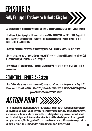### EPISODE 12

#### Fully Equipped For Service In God's Kingdom

1. What are the three basic things we need in our lives to be fully equipped for service in God's Kingdom?

2. David said that most people in this world seek to be HAPPY, PRODUCTIVE and SUCCESSFUL. Do you think this is true? What is the difference between this approach to life and God's will for us which is to be JOYFUL, FAITHFUL and FRUITFUL?

3. Have you ever fallen into the trap of comparing yourself with others? What was the fruit of that?

4. Do you sometimes feel the need to defend yourself? What do you think would happen if you allowed God to defend you and you simply focus on following Him?

5. How will your life be different after watching this series? Will you seek to be led by the Spirit in all of your decisions?

#### SCRIPTURE - EPHESIANS 3:20

*Now to him who is able to do immeasurably more than all we ask or imagine, according to his power that is at work within us, to him be glory in the church and in Christ Jesus throughout all generations, for ever and ever! Amen.*

### *ACTION POINT*

God has chosen you, called you and empowered you. As you step forward into the plans and purposes He has for you, He will guide you, protect you and provide for you. Don't shrink back. Don't allow the lies of the enemy or the riches and cares of this life to deter you from what He has called you to do. Keep your eyes fixed on Jesus and trust Him with all of your heart. Listen and obey. Take risks. Be faithful with what you have. If you do, you will one day hear the words, 'Well done, good and faithful servant! You have been faithful with a few things; I will put you in charge of many things. Come and share your master's happiness!' (Matthew 25:23).